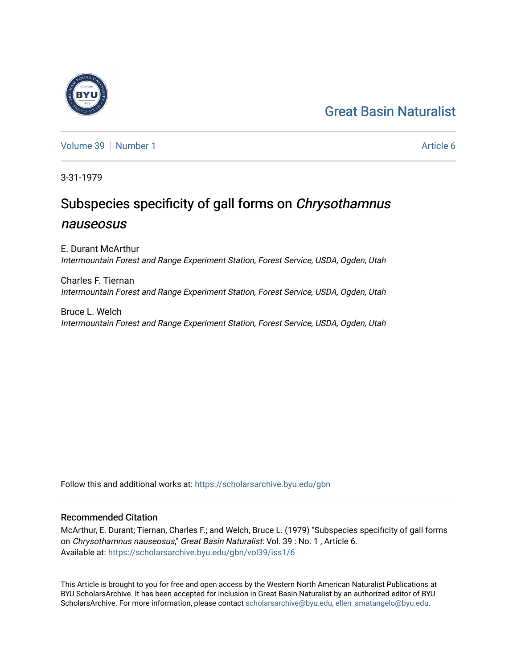# [Great Basin Naturalist](https://scholarsarchive.byu.edu/gbn)

[Volume 39](https://scholarsarchive.byu.edu/gbn/vol39) [Number 1](https://scholarsarchive.byu.edu/gbn/vol39/iss1) Article 6

3-31-1979

# Subspecies specificity of gall forms on Chrysothamnus nauseosus

E. Durant McArthur Intermountain Forest and Range Experiment Station, Forest Service, USDA, Ogden, Utah

Charles F. Tiernan Intermountain Forest and Range Experiment Station, Forest Service, USDA, Ogden, Utah

Bruce L. Welch Intermountain Forest and Range Experiment Station, Forest Service, USDA, Ogden, Utah

Follow this and additional works at: [https://scholarsarchive.byu.edu/gbn](https://scholarsarchive.byu.edu/gbn?utm_source=scholarsarchive.byu.edu%2Fgbn%2Fvol39%2Fiss1%2F6&utm_medium=PDF&utm_campaign=PDFCoverPages) 

## Recommended Citation

McArthur, E. Durant; Tiernan, Charles F.; and Welch, Bruce L. (1979) "Subspecies specificity of gall forms on Chrysothamnus nauseosus," Great Basin Naturalist: Vol. 39 : No. 1 , Article 6. Available at: [https://scholarsarchive.byu.edu/gbn/vol39/iss1/6](https://scholarsarchive.byu.edu/gbn/vol39/iss1/6?utm_source=scholarsarchive.byu.edu%2Fgbn%2Fvol39%2Fiss1%2F6&utm_medium=PDF&utm_campaign=PDFCoverPages)

This Article is brought to you for free and open access by the Western North American Naturalist Publications at BYU ScholarsArchive. It has been accepted for inclusion in Great Basin Naturalist by an authorized editor of BYU ScholarsArchive. For more information, please contact [scholarsarchive@byu.edu, ellen\\_amatangelo@byu.edu.](mailto:scholarsarchive@byu.edu,%20ellen_amatangelo@byu.edu)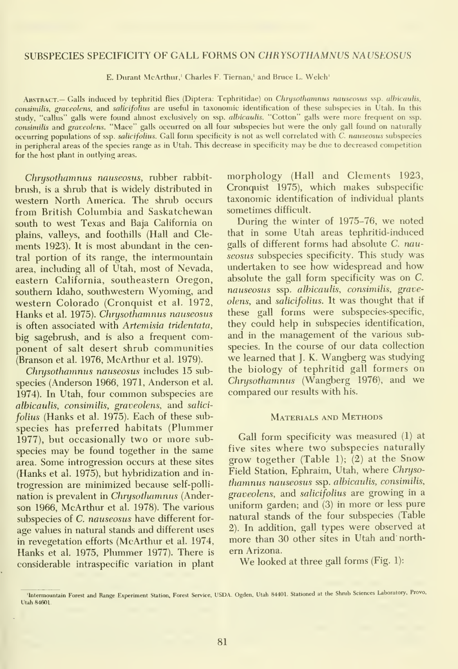### SUBSPECIES SPECIFICITY OF GALL FORMS ON CHRYSOTHAMNUS NAUSEOSUS

E. Durant McArthur,' Charles F. Tiernan,' and Bruce L. Welch'

ABSTRACT.— Galls induced by tephritid flies (Diptera: Tephritidae) on Chrysothamnus nauseosus ssp. albicaulis, consimilis, graveolens, and salicifolius are useful in taxonomic identification of these subspecies in Utah. In this study, "callus" galls were found almost exclusively on ssp. alhicaulis. "Cotton" galls were more frequent on ssp. consimilis and graveolens. "Mace" galls occurred on all four subspecies but were the only gall found on naturally occurring populations of ssp. salicifolins. Gall form specificity is not as well correlated with C. nauseosus subspecies in peripheral areas of the species range as in Utah. This decrease in specificity may be due to decreased competition for the host plant in outlying areas.

Chrusothamnus nauseosus, rubber rabbitbnish, is a shrub that is widely distributed in western North America. The shrub occurs from British Columbia and Saskatchewan south to west Texas and Baja California on plains, valleys, and foothills (Hall and Cle ments 1923). It is most abundant in the central portion of its range, the intermountain area, including all of Utah, most of Nevada, eastern California, southeastern Oregon, southern Idaho, southwestern Wyoming, and western Colorado (Cronquist et al. 1972, Hanks et al. 1975). Chrusothamnus nauseosus is often associated with Artemisia tridentata, big sagebrush, and is also a frequent component of salt desert shrub communities (Branson et al. 1976, McArthur et al. 1979).

Chrysothamnus nauseosus includes 15 subspecies (Anderson 1966, 1971, Anderson et al. 1974). In Utah, four common subspecies are alhicaulis, consimilis, graveolens, and salici folius (Hanks et al. 1975). Each of these sub species has preferred habitats (Plummer 1977), but occasionally two or more subspecies may be found together in the same area. Some introgression occurs at these sites (Hanks et al. 1975), but hybridization and in trogression are minimized because self-polli nation is prevalent in Chrysothamnus (Anderson 1966, McArthur et al. 1978). The various subspecies of C. nauseosus have different for age values in natural stands and different uses in revegetation efforts (McArthur et al. 1974, more than 3<br>Hanks et al. 1975. Plummer 1977). There is ern Arizona. Hanks et al. 1975, Plummer 1977). There is considerable intraspecific variation in plant

morphology (Hall and Clements 1923, Cronquist 1975), which makes subspecific taxonomic identification of individual plants sometimes difficult.

During the winter of 1975-76, we noted that in some Utah areas tephritid-induced galls of different forms had absolute C. nauseosus subspecies specificity. This study was undertaken to see how widespread and how absolute the gall form specificity was on C. nauseosus ssp. alhicaulis, consimilis, graveolens, and salicifolins. It was thought that if these gall forms were subspecies-specific, they could help in subspecies identification, and in the management of the various subspecies. In the course of our data collection we learned that J. K. Wangberg was studying the biology of tephritid gall formers on Chrysothamnus (Wangberg 1976), and we compared our results with his.

### Materials and Methods

Gall form specificity was measured (1) at five sites where two subspecies naturally grow together (Table 1); (2) at the Snow Field Station, Ephraim, Utah, where Chryso thamnus nauseosus ssp. alhicaulis, consimilis, graveolens, and salicifolins are growing in a uniform garden; and (3) in more or less pure natural stands of the four subspecies (Table 2). In addition, gall types were observed at more than 30 other sites in Utah and north-

We looked at three gall forms (Fig. 1):

<sup>&#</sup>x27;Intermountain Forest and Range Experiment Station, Forest Service, USDA. Ogden, Utah 84401. Stationed at the Shrub Sciences Laboratory, Provo,<br>Utah 84601.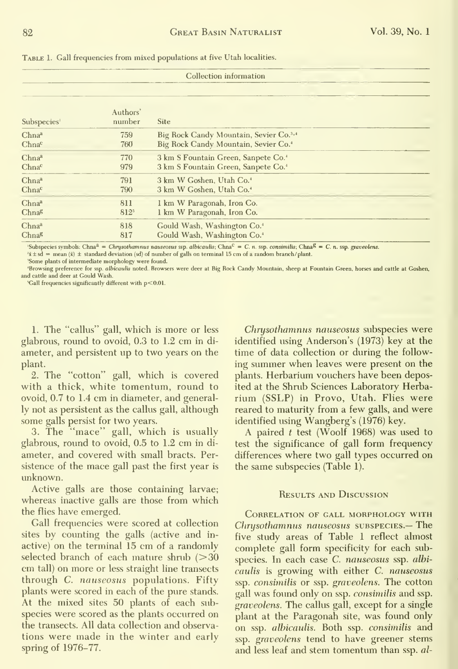TABLE 1. Gall frequencies from mixed populations at five Utah localities.

| Collection information  |                    |                                                    |  |  |
|-------------------------|--------------------|----------------------------------------------------|--|--|
| Subspecies <sup>1</sup> | Authors'<br>number | <b>Site</b>                                        |  |  |
| Chna <sup>a</sup>       | 759                | Big Rock Candy Mountain, Sevier Co. <sup>3,4</sup> |  |  |
| Chna <sup>c</sup>       | 760                | Big Rock Candy Mountain, Sevier Co. <sup>4</sup>   |  |  |
| Chnaa                   | 770                | 3 km S Fountain Green, Sanpete Co. <sup>4</sup>    |  |  |
| Chna <sup>c</sup>       | 979                | 3 km S Fountain Green, Sanpete Co. <sup>4</sup>    |  |  |
| Chnaa                   | 791                | 3 km W Goshen, Utah Co. <sup>4</sup>               |  |  |
| Chnac                   | 790                | 3 km W Goshen, Utah Co. <sup>4</sup>               |  |  |
| Chnaa                   | 811                | 1 km W Paragonah, Iron Co.                         |  |  |
| Chnag                   | 812 <sup>5</sup>   | 1 km W Paragonah, Iron Co.                         |  |  |
| Chna <sup>a</sup>       | 818                | Gould Wash, Washington Co. <sup>4</sup>            |  |  |
| Chnag                   | 817                | Gould Wash, Washington Co. <sup>4</sup>            |  |  |

'Subspecies symbols: Chna<sup>a</sup> = Chrysothamnus nauseosus ssp. albicaulis; Chna<sup>C</sup> = C. n. ssp. consimilis; Chna<sup>g</sup> = C. n. ssp. graveolens.  $x + 1$  is  $d =$  mean  $(\bar{x}) \pm$  standard deviation (sd) of number of galls on terminal 15 cm of a random branch/plant.

'Some plants of intermediate morphology were found.

'Browsing preference for ssp. albicaulis noted. Browsers were deer at Big Rock Candy Mountain, sheep at Fountain Green, horses and cattle at Goshen, and cattle and deer at Gould Wash

'Gall frequencies significantly different with p<0.01

1. The "callus" gall, which is more or less glabrous, round to ovoid, 0.3 to 1.2 cm in diameter, and persistent up to two years on the plant.

2. The "cotton" gall, which is covered with a thick, white tomentum, round to ovoid, 0.7 to 1.4 cm in diameter, and generally not as persistent as the callus gall, although some galls persist for two years.

3. The "mace" gall, which is usually glabrous, round to ovoid, 0.5 to 1.2 cm in diameter, and covered with small bracts. Persistence of the mace gall past the first year is unknown.

Active galls are those containing larvae; whereas inactive galls are those from which the flies have emerged.

Gall frequencies were scored at collection sites by counting the galls (active and inactive) on the terminal 15 cm of a randomly selected branch of each mature shrub  $(>30$ em tall) on more or less straight line transects through C. nauseosus populations. Fifty plants were scored in each of the pure stands. At the mixed sites 50 plants of each subspecies were scored as the plants occurred on the transects. All data collection and observations were made in the winter and early spring of  $1976-77$ .

Chrysothamnus nauseosus subspecies were identified using Anderson's (1973) key at the time of data collection or during the following summer when leaves were present on the plants. Herbarium vouchers have been deposited at the Shrub Sciences Laboratory Herbarium (SSLP) in Provo, Utah. Flies were reared to maturity from a few galls, and were identified using Wangberg's (1976) key.

A paired  $t$  test (Woolf 1968) was used to test the significance of gall form frequency differences where two gall types occurred on the same subspecies (Table 1).

#### **RESULTS AND DISCUSSION**

CORRELATION OF GALL MORPHOLOGY WITH Chrysothamnus nauseosus subspecies.- The five study areas of Table 1 reflect almost complete gall form specificity for each subspecies. In each case C. nauseosus ssp. albicaulis is growing with either C. nauseosus ssp. consimilis or ssp. graveolens. The cotton gall was found only on ssp. consimilis and ssp. graveolens. The callus gall, except for a single plant at the Paragonah site, was found only on ssp. albicaulis. Both ssp. consimilis and ssp. graveolens tend to have greener stems and less leaf and stem tomentum than ssp. al-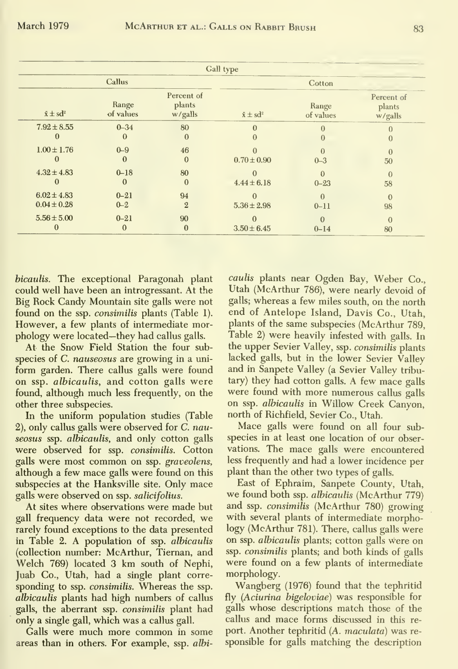| Gall type                          |                      |                                 |                             |                      |                                 |  |
|------------------------------------|----------------------|---------------------------------|-----------------------------|----------------------|---------------------------------|--|
| Callus                             |                      |                                 | Cotton                      |                      |                                 |  |
| $\bar{x} \pm sd^2$                 | Range<br>of values   | Percent of<br>plants<br>w/galls | $\bar{x} \pm sd^2$          | Range<br>of values   | Percent of<br>plants<br>w/galls |  |
| $7.92 \pm 8.55$<br>0               | $0 - 34$<br>0        | 80<br>$\Omega$                  | $\Omega$<br>$\Omega$        |                      | $\Omega$                        |  |
| $1.00 \pm 1.76$                    | $0 - 9$<br>$\Omega$  | 46<br>$\Omega$                  | $0.70 \pm 0.90$             | $\Omega$<br>$0 - 3$  | $\Omega$<br>50                  |  |
| $4.32 \pm 4.83$                    | $0 - 18$<br>$\Omega$ | 80<br>$\Omega$                  | $\Omega$<br>$4.44 \pm 6.18$ | $\Omega$<br>$0 - 23$ | $\Omega$<br>58                  |  |
| $6.02 \pm 4.83$<br>$0.04 \pm 0.28$ | $0 - 21$<br>$0 - 2$  | 94<br>$\overline{2}$            | $\Omega$<br>$5.36 \pm 2.98$ | $\Omega$<br>$0 - 11$ | $\Omega$<br>98                  |  |
| $5.56 \pm 5.00$                    | $0 - 21$<br>$\bf{0}$ | 90<br>$\bf{0}$                  | $3.50 \pm 6.45$             | $\Omega$<br>$0 - 14$ | $\Omega$<br>80                  |  |

bicaulis. The exceptional Paragonah plant could well have been an introgressant. At the Big Rock Candy Mountain site galls were not found on the ssp. *consimilis* plants (Table 1). However, a few plants of intermediate morphology were located—they had callus galls.

At the Snow Field Station the four subspecies of *C. nauseosus* are growing in a uniform garden. There callus galls were found on ssp. albicaulis, and cotton galls were found, although much less frequently, on the other three subspecies.

In the uniform population studies (Table 2), only callus galls were observed for C. nauseosus ssp. albicaulis, and only cotton galls were observed for ssp. consimilis. Cotton galls were most common on ssp. graveolens, although a few mace galls were found on this subspecies at the Hanksville site. Only mace galls were observed on ssp. salicifolius.

At sites where observations were made but gall frequency data were not recorded, we rarely found exceptions to the data presented in Table 2. A population of ssp. *albicaulis* (collection number: McArthur, Tiernan, and Welch 769) located 3 km south of Nephi, Juab Co., Utah, had a single plant corresponding to ssp. consimilis. Whereas the ssp. *albicaulis* plants had high numbers of callus galls, the aberrant ssp. *consimilis* plant had only a single gall, which was a callus gall.

Galls were much more common in some areas than in others. For example, ssp. albicaulis plants near Ogden Bay, Weber Co., Utah (McArthur 786), were nearly devoid of galls; whereas a few miles south, on the north end of Antelope Island, Davis Co., Utah, plants of the same subspecies (McArthur 789.) Table 2) were heavily infested with galls. In the upper Sevier Valley, ssp. consimilis plants lacked galls, but in the lower Sevier Valley and in Sanpete Valley (a Sevier Valley tributary) they had cotton galls. A few mace galls were found with more numerous callus galls on ssp. *albicaulis* in Willow Creek Canyon, north of Richfield, Sevier Co., Utah.

Mace galls were found on all four subspecies in at least one location of our observations. The mace galls were encountered less frequently and had a lower incidence per plant than the other two types of galls.

East of Ephraim, Sanpete County, Utah, we found both ssp. *albicaulis* (McArthur 779) and ssp. consimilis (McArthur 780) growing with several plants of intermediate morphology (McArthur 781). There, callus galls were on ssp. albicaulis plants; cotton galls were on ssp. consimilis plants; and both kinds of galls were found on a few plants of intermediate morphology.

Wangberg (1976) found that the tephritid fly (Aciurina bigeloviae) was responsible for galls whose descriptions match those of the callus and mace forms discussed in this report. Another tephritid (A. maculata) was responsible for galls matching the description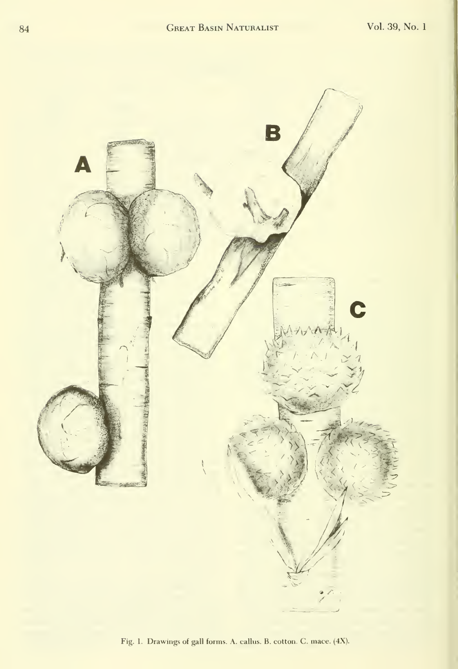

Fig. 1. Drawings of gall forms. A. callus. B. cotton. C. mace. (4X).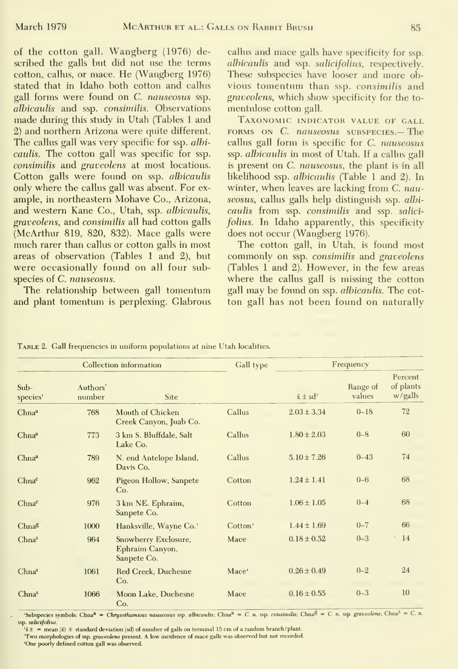of the cotton gall. Wangberg (1976) described the galls but did not use the terms cotton, callus, or mace. He (Wangberg 1976) stated that in Idaho both cotton and callus gall forms were found on C. nauseosus ssp. albicaulis and ssp. consimilis. Observations made during this study in Utah (Tables <sup>1</sup>and 2) and northern Arizona were quite different. The callus gall was very specific for ssp. albicaulis. The cotton gall was specific for ssp. consimilis and graveolens at most locations. Cotton galls were found on ssp. albicaulis only where the callus gall was absent. For ex ample, in northeastern Mohave Co., Arizona, and western Kane Co., Utah, ssp. albicaulis, graveolens, and consimilis all had cotton galls (McArthur 819, 820, 832). Mace galls were much rarer than callus or cotton galls in most areas of observation (Tables <sup>1</sup> and 2), but were occasionally found on all four subspecies of C. nauseosus.

The relationship between gall tomentum and plant tomentum is perplexing. Glabrous

callus and mace galls have specificity for ssp. albicaulis and ssp. salicifolius, respectively. These subspecies have looser and more obvious tomentum than ssp. consimilis and graveolens, which show specificity for the to mentulose cotton gall.

Taxonomic indicator value of gall FORMS ON C. nauseosus subspecies.- The callus gall form is specific for C. nauseosus ssp. albicaulis in most of Utah. If a callus gall is present on C. nauseosus, the plant is in all likelihood ssp. albicaulis (Table 1 and 2). In winter, when leaves are lacking from C. nauseosus, callus galls help distinguish ssp. albicaulis from ssp. consimilis and ssp. salicifolius. In Idaho apparently, this specificity does not occur (Wangberg 1976).

The cotton gall, in Utah, is found most commonly on ssp. consimilis and graveolens (Tables <sup>1</sup> and 2). However, in the few areas where the callus gall is missing the cotton gall may be found on ssp. albicaulis. The cotton gall has not been found on naturally

|  |  | TABLE 2. Gall frequencies in uniform populations at nine Utah localities. |  |
|--|--|---------------------------------------------------------------------------|--|
|--|--|---------------------------------------------------------------------------|--|

| Collection information |                    |                                                        | Gall type           | Frequency          |                    |                                 |
|------------------------|--------------------|--------------------------------------------------------|---------------------|--------------------|--------------------|---------------------------------|
| Sub-<br>species        | Authors'<br>number | Site                                                   |                     | $\bar{x} \pm sd^2$ | Range of<br>values | Percent<br>of plants<br>w/galls |
| Chnaa                  | 768                | Mouth of Chicken<br>Creek Canyon, Juab Co.             | Callus              | $2.03 \pm 3.34$    | $0 - 18$           | 72                              |
| Chna <sup>a</sup>      | 773                | 3 km S. Bluffdale, Salt<br>Lake Co.                    | Callus              | $1.80 \pm 2.03$    | $0 - 8$            | 60                              |
| Chna <sup>a</sup>      | 789                | N. end Antelope Island,<br>Davis Co.                   | Callus              | $5.10 \pm 7.26$    | $0 - 43$           | 74                              |
| Chna <sup>c</sup>      | 962                | Pigeon Hollow, Sanpete<br>Co.                          | Cotton              | $1.24 \pm 1.41$    | $0 - 6$            | 68                              |
| Chna <sup>c</sup>      | 976                | 3 km NE. Ephraim,<br>Sanpete Co.                       | Cotton              | $1.06 \pm 1.05$    | $0 - 4$            | 68                              |
| Chna <sup>g</sup>      | 1000               | Hanksville, Wayne Co. <sup>3</sup>                     | Cotton <sup>3</sup> | $1.44 \pm 1.69$    | $0 - 7$            | 66                              |
| Chnas                  | 964                | Snowberry Exclosure,<br>Ephraim Canyon,<br>Sanpete Co. | Mace                | $0.18 \pm 0.52$    | $0 - 3$            | 14                              |
| Chnas                  | 1061               | <b>Red Creek</b> , Duchesne<br>Co.                     | Mace <sup>4</sup>   | $0.26 \pm 0.49$    | $0 - 2$            | 24                              |
| Chnas                  | 1066               | Moon Lake, Duchesne<br>Co.                             | Mace                | $0.16 \pm 0.55$    | $0 - 3$            | 10                              |

'Subspecies symbols: Chna<sup>a</sup> = Chrysothamnus nauseosus ssp. albicaulis; Chna<sup>a</sup> = C. n. ssp. consimilis; Chna<sup>g</sup> = C. n. ssp. graveolens; Chna<sup>5</sup> = C. n. ssp. salicifolius.

 $\lambda x + \lambda y = \lambda$  mean (x)  $\pm$  standard deviation (sd) of number of galls on terminal 15 cm of a random branch/plant. Two morphologies of ssp. graveolens present. A low incidence of mace galls was observed but not recorded.

'One poorly defined cotton gall was observed.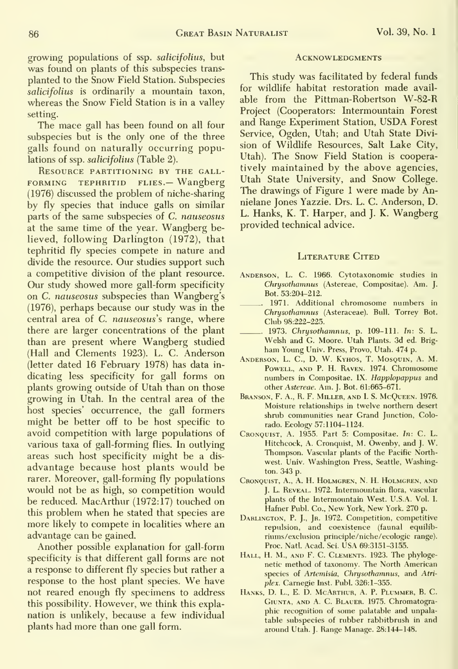growing populations of ssp. salicifolius, but was found on plants of this subspecies trans planted to the Snow Field Station. Subspecies salicifolius is ordinarily a mountain taxon, whereas the Snow Field Station is in a valley setting.

The mace gall has been found on all four subspecies but is the only one of the three galls found on naturally occurring populations of ssp. salicifolius (Table 2).

RESOURCE PARTITIONING BY THE GALL-FORMING TEPHRITID FLIES. - Wangberg (1976) discussed the problem of niche-sharing by fly species that induce galls on similar parts of the same subspecies of C. nauseosus at the same time of the year. Wangberg believed, following Darlington (1972), that tephritid fly species compete in nature and divide the resource. Our studies support such a competitive division of the plant resource. Our study showed more gall-form specificity on C. nauseosus subspecies than Wangberg's (1976), perhaps because our study was in the central area of C. nauseosus's range, where there are larger concentrations of the plant than are present where Wangberg studied (Hall and Clements 1923). L. C. Anderson (letter dated 16 February 1978) has data in dicating less specificity for gall forms on plants growing outside of Utah than on those growing in Utah. In the central area of the host species' occurrence, the gall formers might be better off to be host specific to avoid competition with large populations of various taxa of gall-forming flies. In outlying areas such host specificity might be a dis advantage because host plants would be rarer. Moreover, gall-forming fly populations would not be as high, so competition would be reduced. MacArthur (1972:17) touched on this problem when he stated that species are more likely to compete in localities where an advantage can be gained.

Another possible explanation for gall-form specificity is that different gall forms are not a response to different fly species but rather a response to the host plant species. We have not reared enough fly specimens to address this possibility. However, we think this expla nation is unlikely, because a few individual plants had more than one gall form.

#### **ACKNOWLEDGMENTS**

This study was facilitated by federal funds for wildlife habitat restoration made avail able from the Pittman-Robertson W-82-R Project (Cooperators: Intermountain Forest and Range Experiment Station, USDA Forest Service, Ogden, Utah; and Utah State Division of Wildlife Resources, Salt Lake City, Utah). The Snow Field Station is cooperatively maintained by the above agencies, Utah State University, and Snow College. The drawings of Figure <sup>1</sup> were made by Annielane Jones Yazzie. Drs. L. C. Anderson, D. L. Hanks, K. T. Harper, and J. K. Wangberg provided technical advice.

#### LITERATURE CITED

- Anderson, L. C. 1966. Cytotaxonomic studies in Chrysothamnus (Astereae, Compositae). Am. J. Bot. 53:204-212.
- 1971. Additional chromosome numbers in Chrysothamnus (Asteraceae). Bull. Torrev Bot. Club 98:222-225.
- 1973. Chrysothamnus, p. 109-111. In: S. L. Welsh and G. Moore. Utah Plants. 3d ed. Brig ham Young Univ. Press, Provo, Utah. 474 p.
- ANDERSON, L. C., D. W. KYHOS, T. MOSQUIN, A. M. Powell, and P. H. Raven. 1974. Chromosome numbers in Compositae. IX. Happlopappus and other Astereae. Am. J. Bot. 61:665-671.
- Branson, F. A., R. F. Miller, and I. S. McQueen. 1976. Moisture relationships in twelve northern desert shrub communities near Grand Junction, Colorado. Ecology 57:1104-1124.
- Cronquist, a. 1955. Part 5: Compositae. In: C. L. Hitchcock, A. Cronquist, M. Owenby, and J. W. Thompson. Vascular plants of the Pacific Northwest. Univ. Washington Press, Seattle, Washington. 343 p.
- Cronquist, A., A. H. Holmgren, N. H. Holmgren, and J. L. Reveal. 1972. Intermountain flora, vascular plants of the Intermountain West. U.S.A. Vol. I. Hafner Publ. Co., New York, New York. 270 p.
- Darlington, P. J., Jr. 1972. Competition, competitive repulsion, and coexistence (faunal equilibriums/exclusion principle/niche/ecologic range). Proc. Natl. Acad. Sci. USA 69:3151-3155.
- Hall, H. M., and F. C. Clements. 1923. The phylogenetic method of taxonomy. The North American species of Artemisia, Chrysothamnus, and Atriplex. Carnegie Inst. Publ. 326:1-355.
- HANKS, D. L., E. D. MCARTHUR, A. P. PLUMMER, B. C. GIUNTA, AND A. C. BLAUER. 1975. Chromatographic recognition of some palatable and unpalatable subspecies of rubber rabbitbrush in and around Utah. J. Range Manage. 28:144-148.